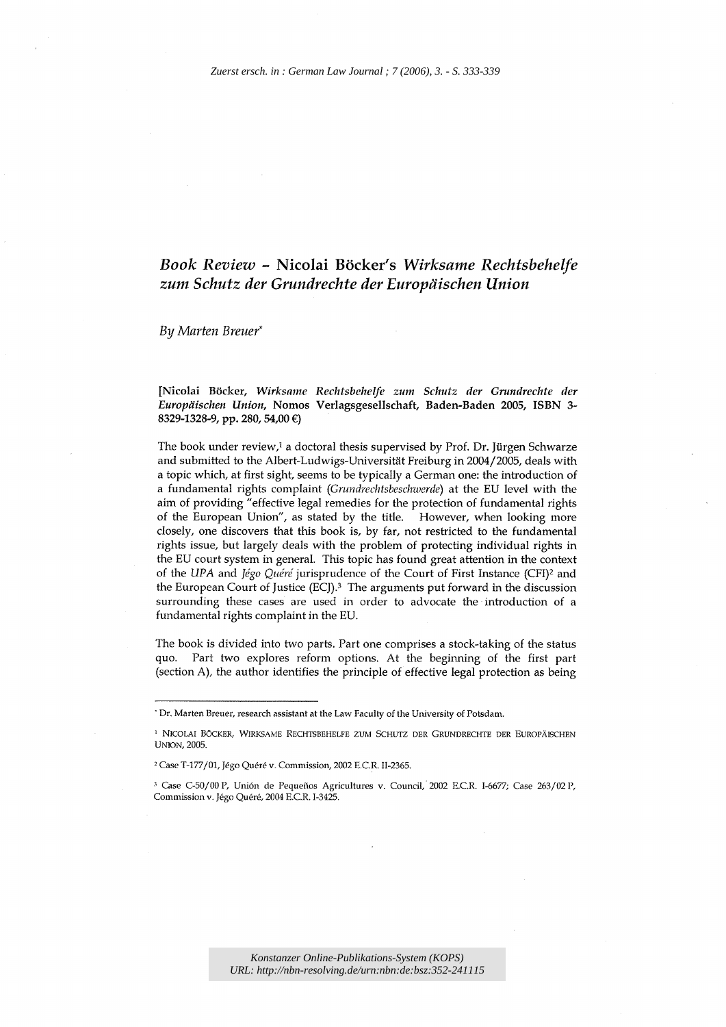## *Book Review* - Nicolai Boeker's *Wirksame Rechtsbehelfe zum Schutz der Grundrechte der Europiiischen Union*

*By Marten Breuer\** 

[Nicolai Boeker, *Wirksame Rechtsbehelfe zum Schutz der Grundrechte der Europiiischen Union,* Nomos Verlagsgesellschaft, Baden-Baden 2005, ISBN 3- 8329-1328-9, pp. 280, 54,00 €)

The book under review,<sup>1</sup> a doctoral thesis supervised by Prof. Dr. Jürgen Schwarze and submitted to the Albert-Ludwigs-Universität Freiburg in 2004/2005, deals with a topic which, at first sight, seems to be typically a German one: the introduction of a fundamental rights complaint *(Gnmdrechtsbeschwerde)* at the EU level with the aim of providing" effective legal remedies for the protection of fundamental rights of the European Union", as stated by the title. However, when looking more closely, one discovers that this book is, by far, not restricted to the fundamental rights issue, but largely deals with the problem of protecting individual rights in the EU court system in general. This topic has found great attention in the context of the UPA and *Jégo Quéré* jurisprudence of the Court of First Instance (CFI)<sup>2</sup> and the European Court of Justice (ECJ).3 The arguments put forward in the discussion surrounding these cases are used in order to advocate the introduction of a fundamental rights complaint in the EU.

The book is divided into two parts. Part one comprises a stock-taking of the status quo. Part two explores reform options. At the beginning of the first part (section A), the author identifies the principle of effective legal protection as being

<sup>.</sup> Dr. Marten Breuer, research assistant at the Law Faculty of the University of Potsdam.

<sup>&</sup>lt;sup>1</sup> NICOLAI BÖCKER, WIRKSAME RECHTSBEHELFE ZUM SCHUTZ DER GRUNDRECHTE DER EUROPÄISCHEN UNION, 2005.

<sup>&</sup>lt;sup>2</sup> Case T-177/01, Jégo Quéré v. Commission, 2002 E.C.R. II-2365.

<sup>&</sup>lt;sup>3</sup> Case C-50/00 P, Unión de Pequeños Agricultures v. Council, 2002 E.C.R. I-6677; Case 263/02 P, Commission v. Jégo Quéré, 2004 E.C.R. I-3425.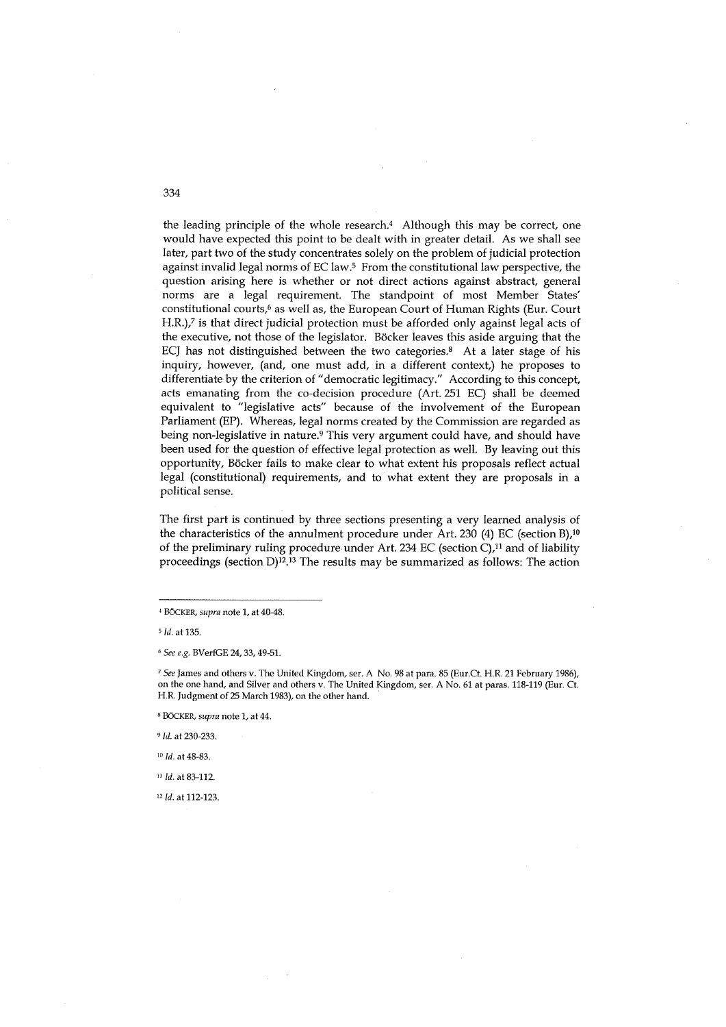the leading principle of the whole research.4 Although this may be correct, one would have expected this point to be dealt with in greater detail. As we shall see later, part two of the study concentrates solely on the problem of judicial protection against invalid legal norms of EC law.<sup>5</sup> From the constitutional law perspective, the question arising here is whether or not direct actions against abstract, general norms are a legal requirement. The standpoint of most Member States' constitutional courts,<sup>6</sup> as well as, the European Court of Human Rights (Eur. Court H.R.),? is that direct judicial protection must be afforded only against legal acts of the executive, not those of the legislator. Böcker leaves this aside arguing that the ECJ has not distinguished between the two categories. $8$  At a later stage of his inquiry, however, (and, one must add, in a different context,) he proposes to differentiate by the criterion of" democratic legitimacy." According to this concept, acts emanating from the co-decision procedure (Art. 251 EC) shall be deemed equivalent to "legislative acts" because of the involvement of the European Parliament (EP). Whereas, legal norms created by the Commission are regarded as being non-legislative in nature.9 This very argument could have, and should have been used for the question of effective legal protection as well. By leaving out this opportunity, Böcker fails to make clear to what extent his proposals reflect actual legal (constitutional) requirements, and to what extent they are proposals in a political sense.

The first part is continued by three sections presenting a very learned analysis of the characteristics of the annulment procedure under Art. 230 (4) EC (section B),<sup>10</sup> of the preliminary ruling procedure under Art. 234 EC (section  $C$ ),<sup>11</sup> and of liability proceedings (section D)12.13 The results may be summarized as follows: The action

*<sup>9</sup>*Id. at 230-233.

 $10$  Id. at 48-83.

<sup>11</sup> Id. at 83-112.

12 Id. at 112-123.

334

<sup>,</sup> BOeKER, *supra* note 1, at 40-48.

<sup>5</sup>Id. at 135.

<sup>6</sup>*See e.g.* BVerfGE 24, 33, 49-51.

*<sup>7</sup> See* James and others v. The United Kingdom, ser. A No. 98 at para. 85 (Eur.Ct. H.R. 21 February 1986), on the one hand, and Silver and others v. The United Kingdom, ser. A No. 61 at paras. 118-119 (Eur. Ct. H.R. Judgment of 25 March 1983), on the other hand.

<sup>8</sup>BOeKER, *supra* note 1, at 44.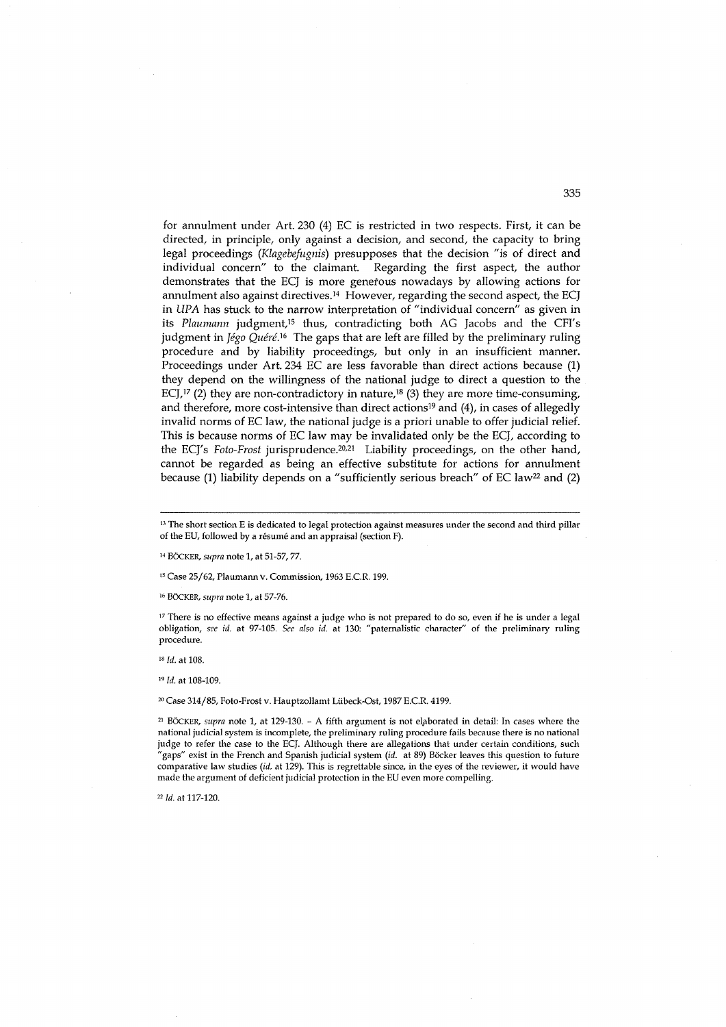for annulment under Art. 230 (4) EC is restricted in two respects. First, it can be directed, in principle, only against a decision, and second, the capacity to bring legal proceedings *(Klagebefugnis)* presupposes that the decision "is of direct and individual concern" to the claimant. Regarding the first aspect, the author demonstrates that the ECJ is more genetous nowadays by allowing actions for annulment also against directives.14 However, regarding the second aspect, the ECJ in UPA has stuck to the narrow interpretation of "individual concern" as given in its Plaumann judgment,<sup>15</sup> thus, contradicting both AG Jacobs and the CFI's judgment in *Jégo Quéré*.<sup>16</sup> The gaps that are left are filled by the preliminary ruling procedure and by liability proceedings, but only in an insufficient manner. Proceedings under Art. 234 EC are less favorable than direct actions because (1) they depend on the willingness of the national judge to direct a question to the ECJ,<sup>17</sup> (2) they are non-contradictory in nature,<sup>18</sup> (3) they are more time-consuming, and therefore, more cost-intensive than direct actions<sup>19</sup> and  $(4)$ , in cases of allegedly invalid norms of EC law, the national judge is a priori unable to offer judicial relief. This is because norms of EC law may be invalidated only be the ECJ, according to the ECJ's *Foto-Frost* jurisprudence.20,21 Liability proceedings, on the other hand, cannot be regarded as being an effective substitute for actions for annulment because (1) liability depends on a "sufficiently serious breach" of EC law<sup>22</sup> and (2)

14 BoeKER, *supra* note 1, at 51-57, 77.

15 Case 25/62, Plaumann v. Commission, 1963 E.CR. 199.

<sup>16</sup> BÖCKER, *supra* note 1, at 57-76.

<sup>17</sup> There is no effective means against a judge who is not prepared to do so, even if he is under a legal obligation, *see id.* at 97-105. *See also id.* at 130: "paternalistic character" of the preliminary ruling procedure.

*18 ld.* at 108.

<sup>19</sup>*ld.* at 108-109.

20 Case 314/85, Foto-Frost v. Hauptzollamt Uibeck-Ost, 1987 E.CR. 4199.

<sup>21</sup> BÖCKER, *supra* note 1, at 129-130. - A fifth argument is not elaborated in detail: In cases where the national judicial system is incomplete, the preliminary ruling procedure fails because there is no national judge to refer the case to the ECJ. Although there are allegations that under certain conditions, such "gaps" exist in the French and Spanish judicial system *(id.* at 89) Böcker leaves this question to future comparative law studies *(id.* at 129). This is regrettable since, in the eyes of the reviewer, it would have made the argument of deficient judicial protection in the EU even more compelling.

*"ld.* at 117-120.

<sup>&</sup>lt;sup>13</sup> The short section E is dedicated to legal protection against measures under the second and third pillar of the EU, followed by a resume and an appraisal (section F).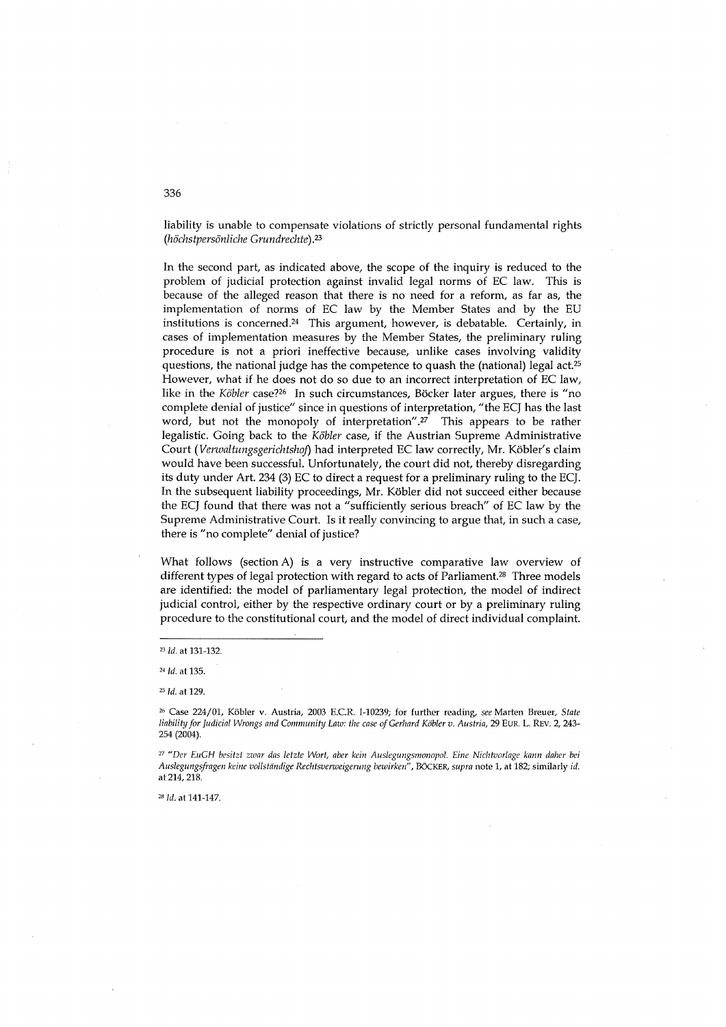liability is unable to compensate violations of strictly personal fundamental rights *(hochstpersonliche Grundrechte).23* 

In the second part, as indicated above, the scope of the inquiry is reduced to the problem of judicial protection against invalid legal norms of EC law. This is because of the alleged reason that there is no need for a reform, as far as, the implementation of norms of EC law by the Member States and by the EU institutions is concerned.24 This argument, however, is debatable. Certainly, in cases of implementation measures by the Member States, the preliminary ruling procedure is not a priori ineffective because, unlike cases involving validity questions, the national judge has the competence to quash the (national) legal act.25 However, what if he does not do so due to an incorrect interpretation of EC law, like in the *Köbler* case?<sup>26</sup> In such circumstances, Böcker later argues, there is "no complete denial of justice" since in questions of interpretation, "the ECJ has the last word, but not the monopoly of interpretation".<sup>27</sup> This appears to be rather legalistic. Going back to the *Kobler* case, if the Austrian Supreme Administrative Court *(Verwaltungsgerichtshoj)* had interpreted EC law correctly, Mr. Kobler's claim would have been successful. Unfortunately, the court did not, thereby disregarding its duty under Art. 234 (3) EC to direct a request for a preliminary ruling to the ECJ. In the subsequent liability proceedings, Mr. Kobler did not succeed either because the ECJ found that there was not a "sufficiently serious breach" of EC law by the Supreme Administrative Court. Is it really convincing to argue that, in such a case, there is "no complete" denial of justice?

What follows (section A) is a very instructive comparative law overview of different types of legal protection with regard to acts of Parliament.<sup>28</sup> Three models are identified: the model of parliamentary legal protection, the model of indirect judicial control, either by the respective ordinary court or by a preliminary ruling procedure to the constitutional court, and the model of direct individual complaint.

*28* ld. at 141-147.

336

*<sup>231</sup>d.* at 131-132.

<sup>24</sup>ld. at 135.

*<sup>25</sup>*ld. at 129.

<sup>26</sup> Case 224/01, Kobler v. Austria, 2003 E.CR 1-10239; for further reading, *see* Marten Breuer, *State liability for Judicial Wrongs and CommunihJ Law: the case of Gerhard Kobler v. Austria,* 29 EuR. L. REV. 2, 243- 254 (2004).

<sup>&</sup>lt;sup>27</sup> "Der EuGH besitzt zwar das letzte Wort, aber kein Auslegungsmonopol. Eine Nichtvorlage kann daher bei *Auslegungsfragen keine vollsliindige Rechtsverweigerung bewirken",* BOeKER, *supra* note 1, at 182; similarly *id.*  at 214,218.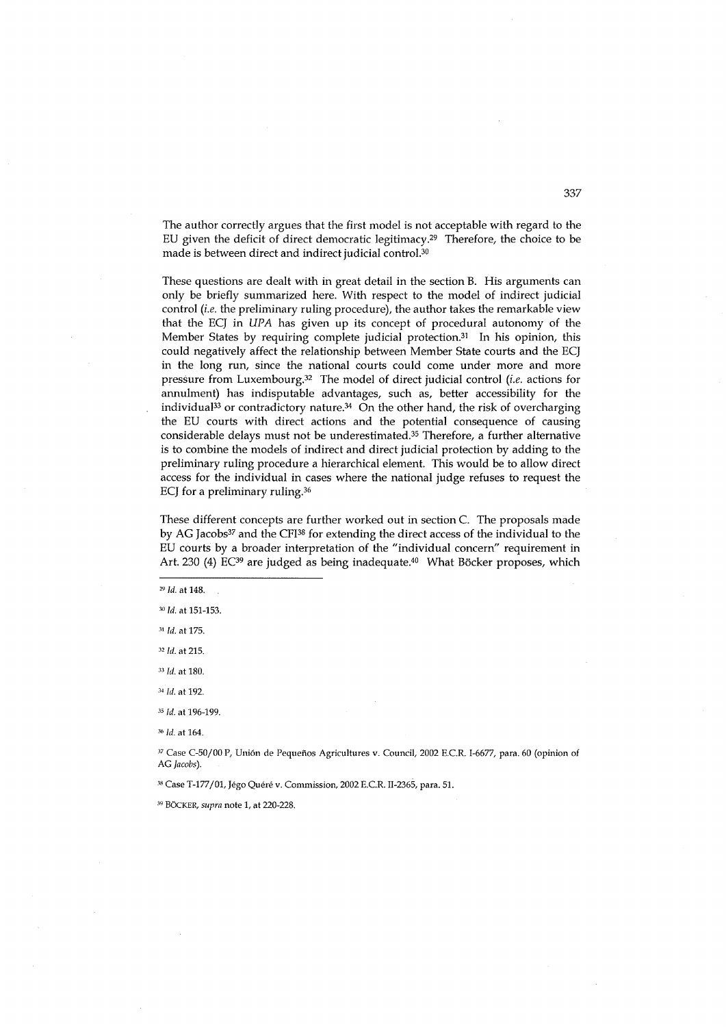The author correctly argues that the first model is not acceptable with regard to the EU given the deficit of direct democratic legitimacy.29 Therefore, the choice to be made is between direct and indirect judicial control.30

These questions are dealt with in great detail in the section B. His arguments can only be briefly summarized here. With respect to the model of indirect judicial control *(i.e.* the preliminary ruling procedure), the author takes the remarkable view that the ECJ in *UPA* has given up its concept of procedural autonomy of the Member States by requiring complete judicial protection.<sup>31</sup> In his opinion, this could negatively affect the relationship between Member State courts and the ECJ in the long run, since the national courts could come under more and more pressure from Luxembourg.32 The model of direct judicial control *(i.e.* actions for annulment) has indisputable advantages, such as, better accessibility for the individual<sup>33</sup> or contradictory nature.<sup>34</sup> On the other hand, the risk of overcharging the EU courts with direct actions and the potential consequence of causing considerable delays must not be underestimated.<sup>35</sup> Therefore, a further alternative is to combine the models of indirect and direct judicial protection by adding to the preliminary ruling procedure a hierarchical element. This would be to allow direct access for the individual in cases where the national judge refuses to request the ECJ for a preliminary ruling.36

These different concepts are further worked out in section C. The proposals made by AG Jacobs<sup>37</sup> and the CFI<sup>38</sup> for extending the direct access of the individual to the EU courts by a broader interpretation of the "individual concern" requirement in Art. 230 (4) EC<sup>39</sup> are judged as being inadequate.<sup>40</sup> What Böcker proposes, which

<sup>29</sup>Id. at 148.

- <sup>32</sup>Id. at 215.
- *<sup>33</sup>*[d. at 180.
- <sup>34</sup> Id. at 192.
- *<sup>35</sup>*[d. at 196-199.
- <sup>36</sup>Id. at 164.

<sup>37</sup> Case C-50/00 P, Unión de Pequeños Agricultures v. Council, 2002 E.C.R. I-6677, para. 60 (opinion of AG *Jacobs).* 

38 Case *T-177101,* Jego Quere v. Commission, 2002 EC.R. II-2365, para. 51.

39 BOCKER, *supra* note 1, at 220-228.

<sup>30</sup>Id. at 151-153.

<sup>31</sup> Id. at 175.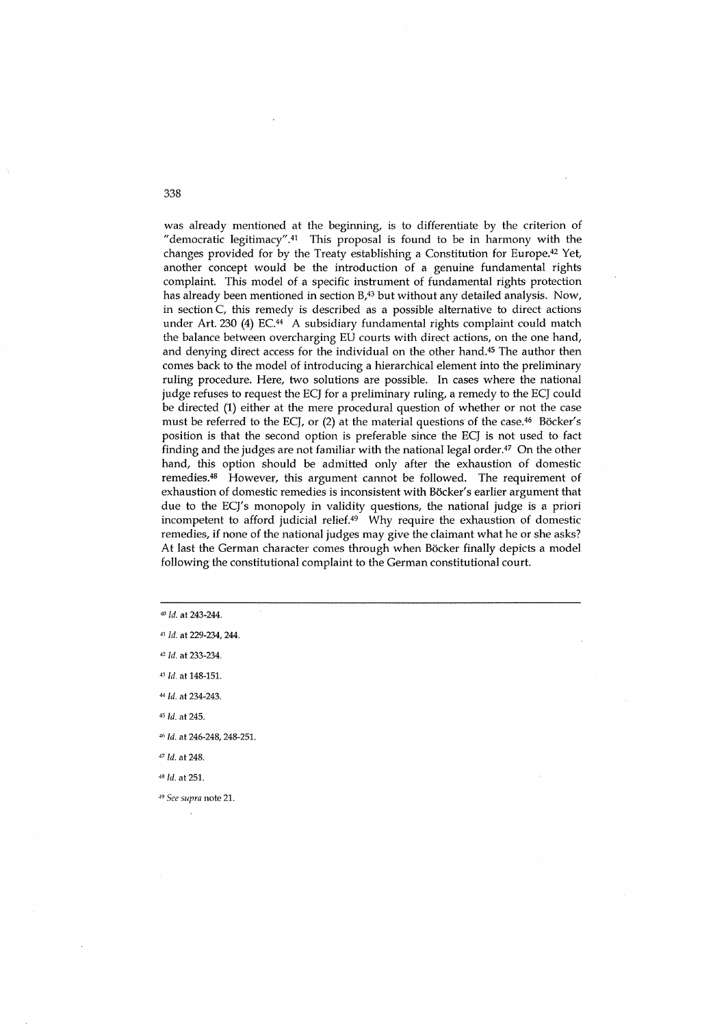was already mentioned at the beginning, is to differentiate by the criterion of "democratic legitimacy".41 This proposal is found to be in harmony with the changes provided for by the Treaty establishing a Constitution for Europe.42 Yet, another concept would be the introduction of a genuine fundamental rights complaint. This model of a specific instrument of fundamental rights protection has already been mentioned in section B,<sup>43</sup> but without any detailed analysis. Now, in section C, this remedy is described as a possible alternative to direct actions under Art. 230 (4) EC.<sup>44</sup> A subsidiary fundamental rights complaint could match the balance between overcharging EU courts with direct actions, on the one hand, and denying direct access for the individual on the other hand.45 The author then comes back to the model of introducing a hierarchical element into the preliminary ruling procedure. Here, two solutions are possible. In cases where the national judge refuses to request the ECJ for a preliminary ruling, a remedy to the ECJ could be directed (1) either at the mere procedural question of whether or not the case must be referred to the ECJ, or (2) at the material questions of the case.<sup>46</sup> Böcker's position is that the second option is preferable since the ECJ is not used to fact finding and the judges are not familiar with the national legal order. $47$  On the other hand, this option should be admitted only after the exhaustion of domestic remedies.48 However, this argument cannot be followed. The requirement of exhaustion of domestic remedies is inconsistent with Böcker's earlier argument that due to the ECJ's monopoly in validity questions, the national judge is a priori incompetent to afford judicial relief.49 Why require the exhaustion of domestic remedies, if none of the national judges may give the claimant what he or she asks? At last the German character comes through when Böcker finally depicts a model following the constitutional complaint to the German constitutional court.

<sup>40</sup> *ld.* at 243-244.

<sup>41</sup> Id. at 229-234, 244.

<sup>42</sup> Id. at 233-234.

43 Id. at 148-151.

*<4* [d. at 234-243.

*<5* [d. at 245.

<6 [d. at 246-248, 248-251.

*<sup>47</sup>*Id. at 248.

<sup>48</sup>Id. at 251.

*<9 See supra* note 21.

338